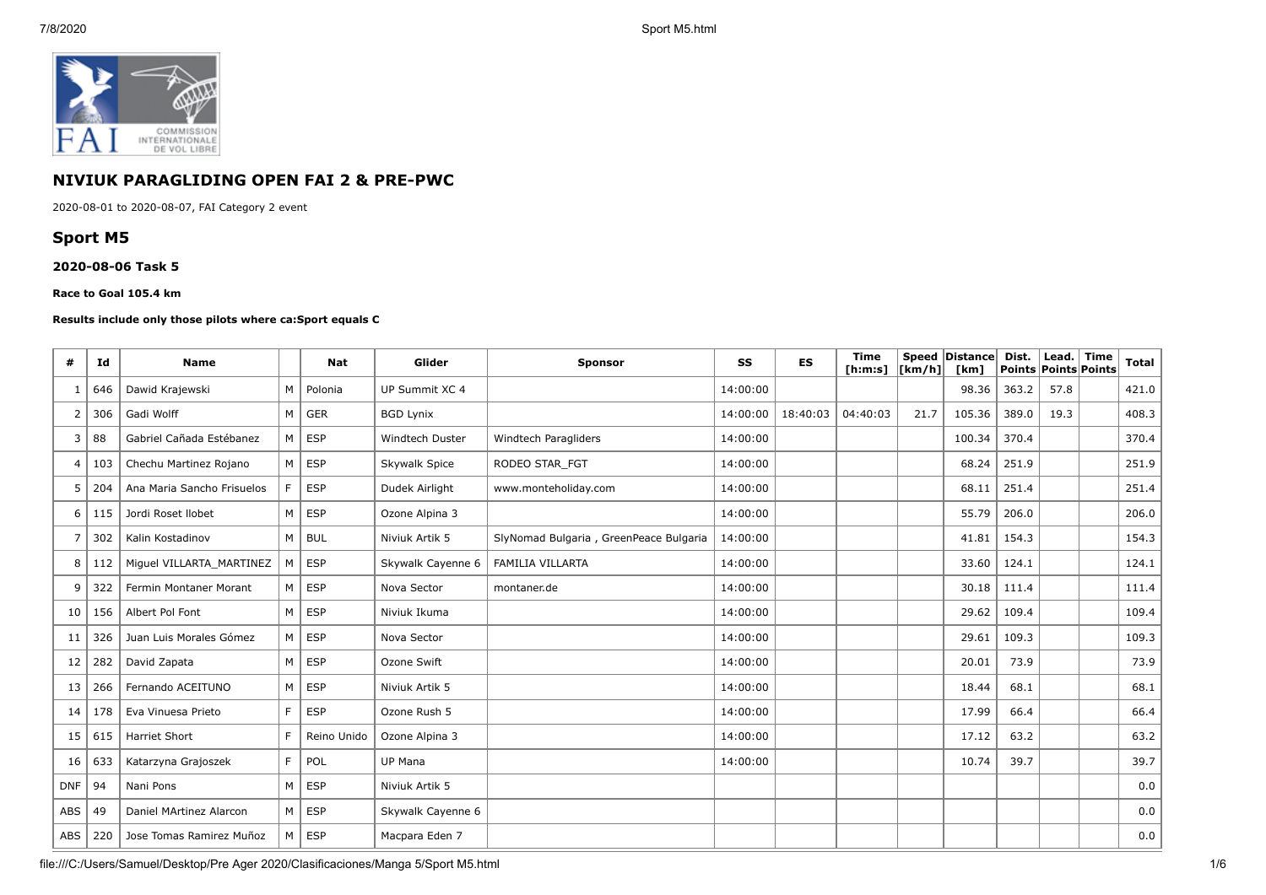

# **NIVIUK PARAGLIDING OPEN FAI 2 & PRE-PWC**

2020-08-01 to 2020-08-07, FAI Category 2 event

# **Sport M5**

## **2020-08-06 Task 5**

### **Race to Goal 105.4 km**

### **Results include only those pilots where ca:Sport equals C**

| #          | Id  | <b>Name</b>                |    | <b>Nat</b>  | Glider            | <b>Sponsor</b>                         | SS       | ES       | <b>Time</b><br>[ <b>h</b> : <b>m</b> : <b>s</b> ] | $\lfloor \lfloor km/h \rfloor$ | Speed Distance<br>[km] | Dist.<br>Points Points Points | Lead. | <b>Time</b> | Total |
|------------|-----|----------------------------|----|-------------|-------------------|----------------------------------------|----------|----------|---------------------------------------------------|--------------------------------|------------------------|-------------------------------|-------|-------------|-------|
| -1         | 646 | Dawid Krajewski            | M  | Polonia     | UP Summit XC 4    |                                        | 14:00:00 |          |                                                   |                                | 98.36                  | 363.2                         | 57.8  |             | 421.0 |
| 2          | 306 | Gadi Wolff                 | M  | <b>GER</b>  | <b>BGD Lynix</b>  |                                        | 14:00:00 | 18:40:03 | 04:40:03                                          | 21.7                           | 105.36                 | 389.0                         | 19.3  |             | 408.3 |
| 3          | 88  | Gabriel Cañada Estébanez   | M  | <b>ESP</b>  | Windtech Duster   | Windtech Paragliders                   | 14:00:00 |          |                                                   |                                | 100.34                 | 370.4                         |       |             | 370.4 |
| 4          | 103 | Chechu Martinez Rojano     | M  | <b>ESP</b>  | Skywalk Spice     | RODEO STAR FGT                         | 14:00:00 |          |                                                   |                                | 68.24                  | 251.9                         |       |             | 251.9 |
| 5          | 204 | Ana Maria Sancho Frisuelos |    | <b>ESP</b>  | Dudek Airlight    | www.monteholiday.com                   | 14:00:00 |          |                                                   |                                | 68.11                  | 251.4                         |       |             | 251.4 |
| 6          | 115 | Jordi Roset Ilobet         | M  | <b>ESP</b>  | Ozone Alpina 3    |                                        | 14:00:00 |          |                                                   |                                | 55.79                  | 206.0                         |       |             | 206.0 |
| 7          | 302 | Kalin Kostadinov           | M  | <b>BUL</b>  | Niviuk Artik 5    | SlyNomad Bulgaria, GreenPeace Bulgaria | 14:00:00 |          |                                                   |                                | 41.81                  | 154.3                         |       |             | 154.3 |
| 8          | 112 | Miguel VILLARTA MARTINEZ   | M  | <b>ESP</b>  | Skywalk Cayenne 6 | FAMILIA VILLARTA                       | 14:00:00 |          |                                                   |                                | 33.60                  | 124.1                         |       |             | 124.1 |
| 9          | 322 | Fermin Montaner Morant     | M  | <b>ESP</b>  | Nova Sector       | montaner.de                            | 14:00:00 |          |                                                   |                                | 30.18                  | 111.4                         |       |             | 111.4 |
| 10         | 156 | Albert Pol Font            | M  | <b>ESP</b>  | Niviuk Ikuma      |                                        | 14:00:00 |          |                                                   |                                | 29.62                  | 109.4                         |       |             | 109.4 |
| 11         | 326 | Juan Luis Morales Gómez    | M  | <b>ESP</b>  | Nova Sector       |                                        | 14:00:00 |          |                                                   |                                | 29.61                  | 109.3                         |       |             | 109.3 |
| 12         | 282 | David Zapata               | M  | <b>ESP</b>  | Ozone Swift       |                                        | 14:00:00 |          |                                                   |                                | 20.01                  | 73.9                          |       |             | 73.9  |
| 13         | 266 | Fernando ACEITUNO          | M  | <b>ESP</b>  | Niviuk Artik 5    |                                        | 14:00:00 |          |                                                   |                                | 18.44                  | 68.1                          |       |             | 68.1  |
| 14         | 178 | Eva Vinuesa Prieto         | F. | <b>ESP</b>  | Ozone Rush 5      |                                        | 14:00:00 |          |                                                   |                                | 17.99                  | 66.4                          |       |             | 66.4  |
| 15         | 615 | <b>Harriet Short</b>       | F  | Reino Unido | Ozone Alpina 3    |                                        | 14:00:00 |          |                                                   |                                | 17.12                  | 63.2                          |       |             | 63.2  |
| 16         | 633 | Katarzyna Grajoszek        | F. | POL         | UP Mana           |                                        | 14:00:00 |          |                                                   |                                | 10.74                  | 39.7                          |       |             | 39.7  |
| <b>DNF</b> | 94  | Nani Pons                  | M  | <b>ESP</b>  | Niviuk Artik 5    |                                        |          |          |                                                   |                                |                        |                               |       |             | 0.0   |
| ABS        | 49  | Daniel MArtinez Alarcon    | M  | <b>ESP</b>  | Skywalk Cayenne 6 |                                        |          |          |                                                   |                                |                        |                               |       |             | 0.0   |
| ABS        | 220 | Jose Tomas Ramirez Muñoz   | M  | <b>ESP</b>  | Macpara Eden 7    |                                        |          |          |                                                   |                                |                        |                               |       |             | 0.0   |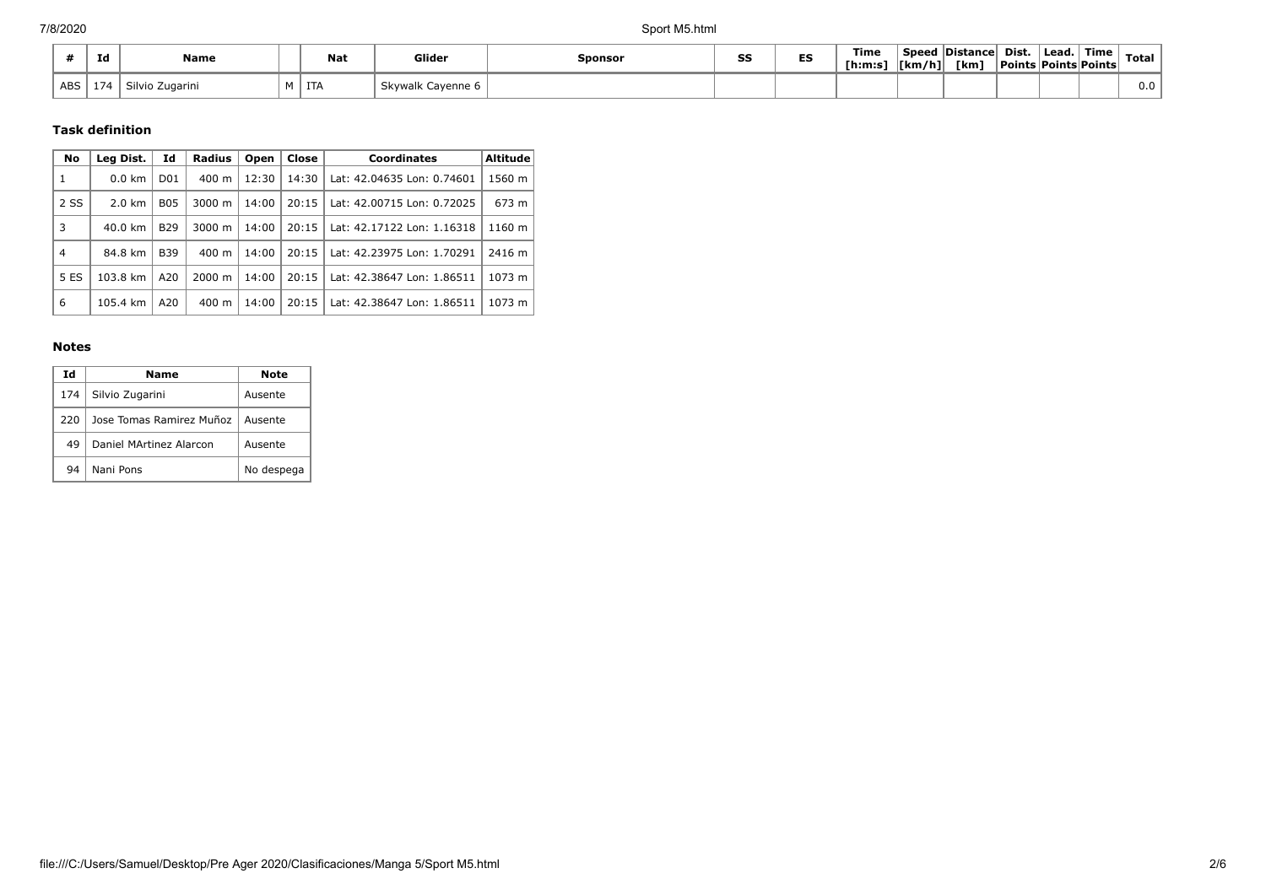|            | Id  | Name             |     | <b>Nat</b> | Glider                      | Sponsor | 00<br>55 | --<br>ES | Time<br>[h:m:s | Speed<br> [km/h] | <b>IDistancel</b><br>[km] | Dist.<br><b>Points Points Points</b> | Lead. | Time | <b>Total</b> |
|------------|-----|------------------|-----|------------|-----------------------------|---------|----------|----------|----------------|------------------|---------------------------|--------------------------------------|-------|------|--------------|
| <b>ABS</b> | 174 | ugarin<br>Silvio | . . | T<br>11A   | Cavenne 6<br><b>Skvwalk</b> |         |          |          |                |                  |                           |                                      |       |      | 0.0          |

## **Task definition**

| No             | Leg Dist.         | Id              | Radius             | Open  | Close | <b>Coordinates</b>         | <b>Altitude</b> |
|----------------|-------------------|-----------------|--------------------|-------|-------|----------------------------|-----------------|
| 1              | $0.0 \text{ km}$  | D <sub>01</sub> | $400 \text{ m}$    | 12:30 | 14:30 | Lat: 42.04635 Lon: 0.74601 | 1560 m          |
| 2 SS           | $2.0 \text{ km}$  | <b>B05</b>      | $3000 \; \text{m}$ | 14:00 | 20:15 | Lat: 42.00715 Lon: 0.72025 | 673 m           |
| 3              | $40.0 \text{ km}$ | <b>B29</b>      | $3000 \; \text{m}$ | 14:00 | 20:15 | Lat: 42.17122 Lon: 1.16318 | 1160 m          |
| $\overline{4}$ | 84.8 km           | <b>B39</b>      | $400 \text{ m}$    | 14:00 | 20:15 | Lat: 42.23975 Lon: 1.70291 | 2416 m          |
| 5 ES           | 103.8 km          | A20             | $2000 \; m$        | 14:00 | 20:15 | Lat: 42.38647 Lon: 1.86511 | 1073 m          |
| 6              | 105.4 km          | A20             | $400 \text{ m}$    | 14:00 | 20:15 | Lat: 42.38647 Lon: 1.86511 | 1073 m          |

## **Notes**

| Id  | Name                     | Note       |
|-----|--------------------------|------------|
| 174 | Silvio Zugarini          | Ausente    |
| 220 | Jose Tomas Ramirez Muñoz | Ausente    |
| 49  | Daniel MArtinez Alarcon  | Ausente    |
| 94  | Nani Pons                | No despega |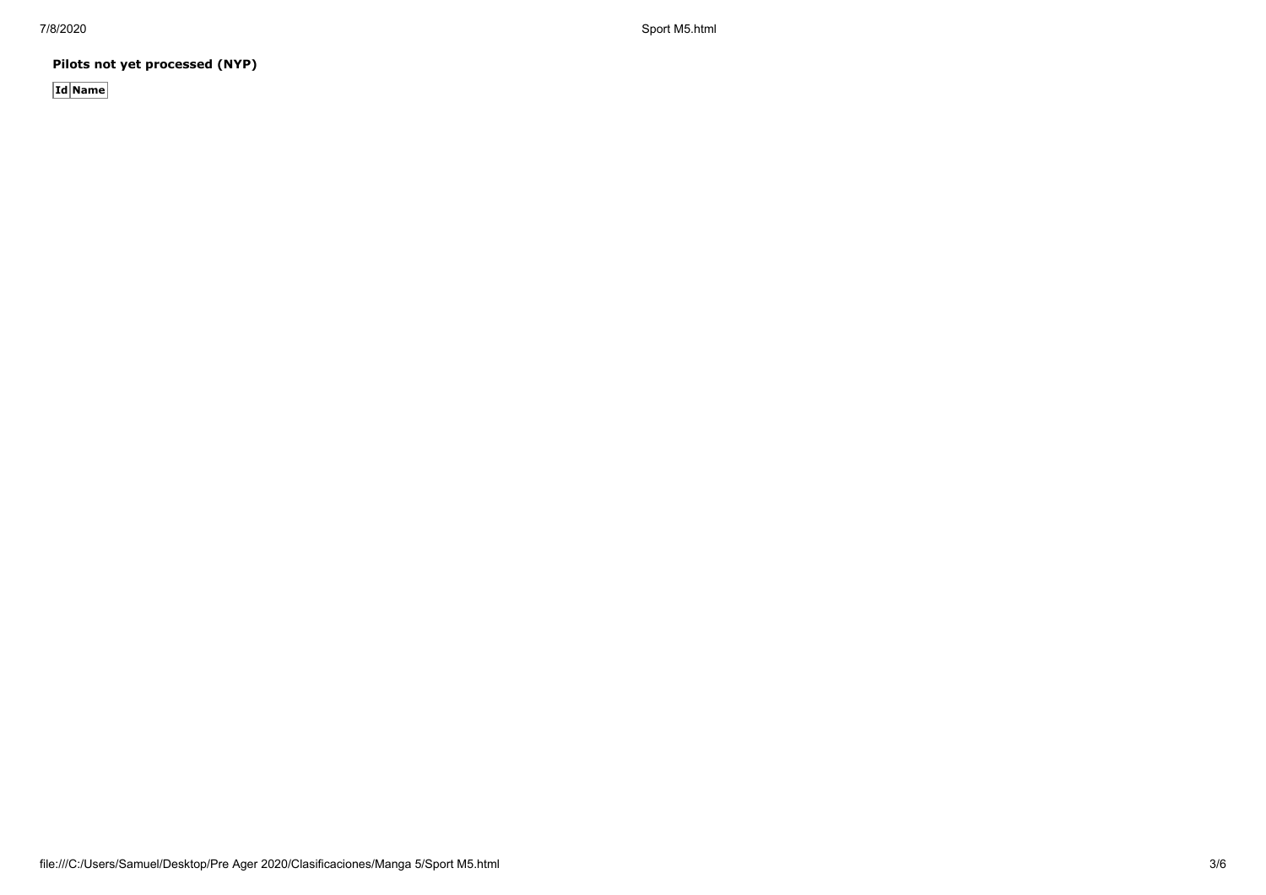7/8/2020 Sport M5.html

**Pilots not yet processed (NYP)**

**Id Name**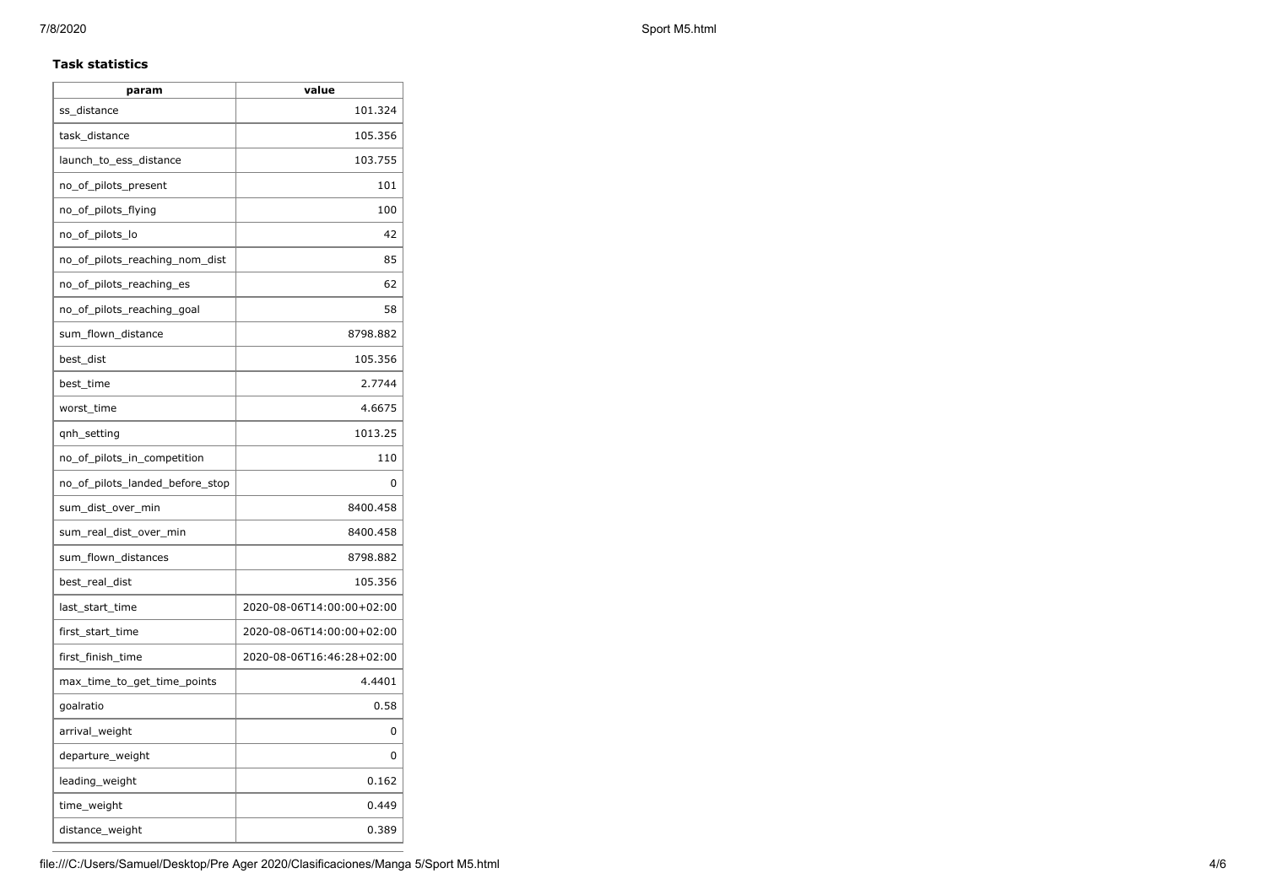## **Task statistics**

| param                           | value                     |
|---------------------------------|---------------------------|
| ss distance                     | 101.324                   |
| task_distance                   | 105.356                   |
| launch_to_ess_distance          | 103.755                   |
| no_of_pilots_present            | 101                       |
| no_of_pilots_flying             | 100                       |
| no_of_pilots_lo                 | 42                        |
| no_of_pilots_reaching_nom_dist  | 85                        |
| no_of_pilots_reaching_es        | 62                        |
| no_of_pilots_reaching_goal      | 58                        |
| sum_flown_distance              | 8798.882                  |
| best dist                       | 105.356                   |
| best time                       | 2.7744                    |
| worst_time                      | 4.6675                    |
| qnh_setting                     | 1013.25                   |
| no_of_pilots_in_competition     | 110                       |
| no of pilots landed before stop | 0                         |
| sum_dist_over_min               | 8400.458                  |
| sum_real_dist_over_min          | 8400.458                  |
| sum_flown_distances             | 8798.882                  |
| best_real_dist                  | 105.356                   |
| last start time                 | 2020-08-06T14:00:00+02:00 |
| first_start_time                | 2020-08-06T14:00:00+02:00 |
| first_finish_time               | 2020-08-06T16:46:28+02:00 |
| max_time_to_get_time_points     | 4.4401                    |
| goalratio                       | 0.58                      |
| arrival_weight                  | 0                         |
| departure_weight                | 0                         |
| leading_weight                  | 0.162                     |
| time_weight                     | 0.449                     |
| distance_weight                 | 0.389                     |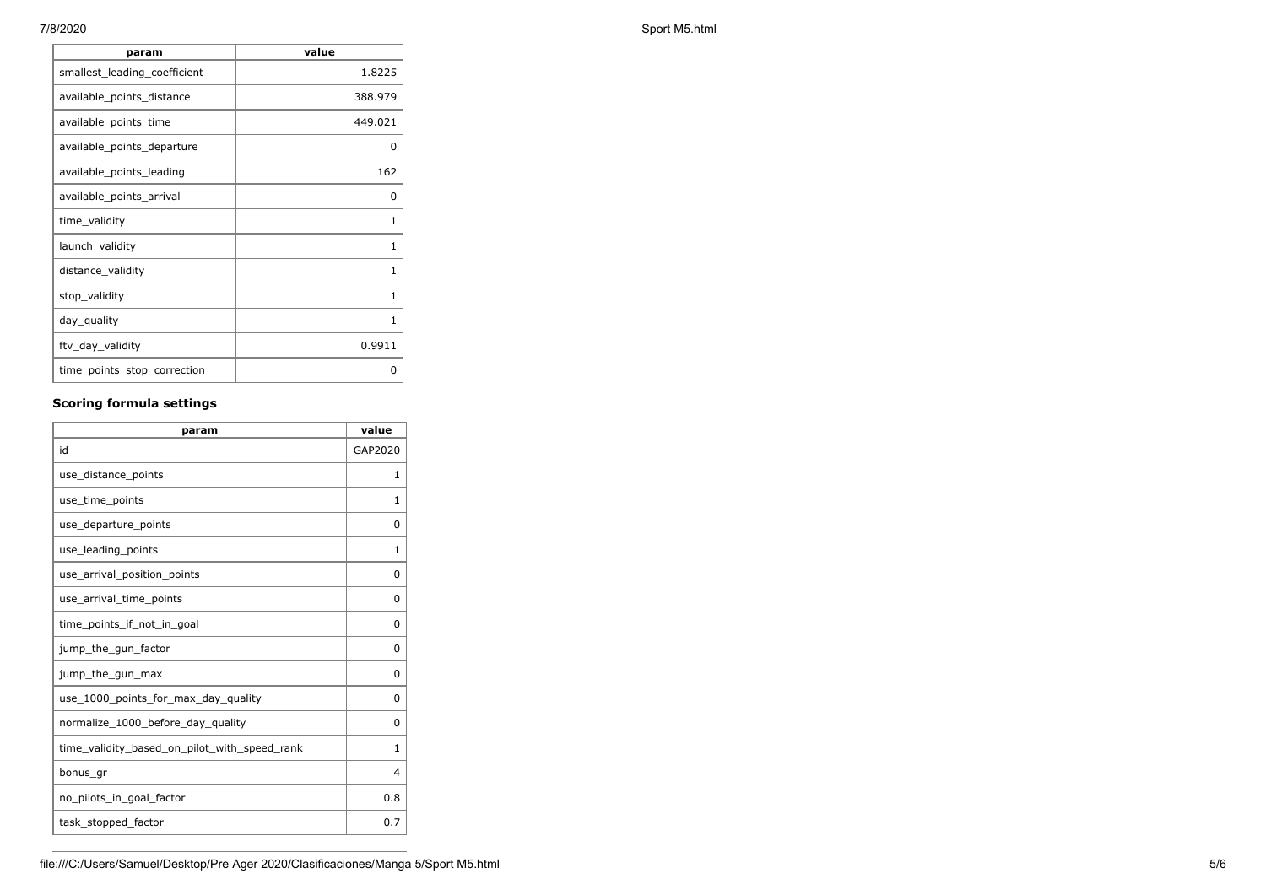| param                        | value        |
|------------------------------|--------------|
| smallest_leading_coefficient | 1.8225       |
| available_points_distance    | 388.979      |
| available_points_time        | 449.021      |
| available_points_departure   | 0            |
| available_points_leading     | 162          |
| available_points_arrival     | 0            |
| time_validity                | $\mathbf{1}$ |
| launch_validity              | 1            |
| distance_validity            | $\mathbf{1}$ |
| stop_validity                | $\mathbf{1}$ |
| day_quality                  | $\mathbf{1}$ |
| ftv_day_validity             | 0.9911       |
| time_points_stop_correction  | 0            |

# **Scoring formula settings**

| param                                        | value        |
|----------------------------------------------|--------------|
| id                                           | GAP2020      |
| use_distance_points                          | 1            |
| use_time_points                              | 1            |
| use_departure_points                         | 0            |
| use leading points                           | 1            |
| use_arrival_position_points                  | 0            |
| use_arrival_time_points                      | 0            |
| time points if not in goal                   | 0            |
| jump_the_gun_factor                          | 0            |
| jump_the_gun_max                             | 0            |
| use_1000_points_for_max_day_quality          | 0            |
| normalize_1000_before_day_quality            | 0            |
| time_validity_based_on_pilot_with_speed_rank | $\mathbf{1}$ |
| bonus_gr                                     | 4            |
| no_pilots_in_goal_factor                     | 0.8          |
| task_stopped_factor                          | 0.7          |

7/8/2020 Sport M5.html